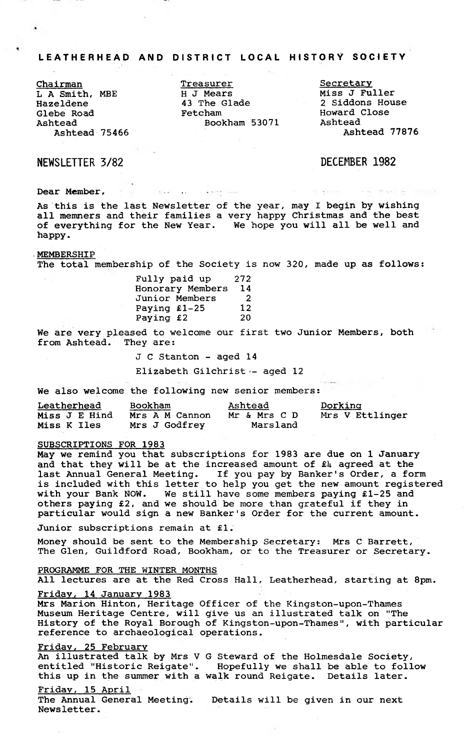# LEATHERHEAD AND DISTRICT LOCAL HISTORY SOCIETY

**Chairman L A Smith, MBE Hazeldene Glebe Road Ashtead Ashtead 75466**

**Treasurer H J Mears 43 The Glade Fetcham Bookham 53071**

**Secretary Miss J Fuller 2 Siddons House Howard Close Ashtead Ashtead 77876**

NEWSLETTER 3/82 DECEMBER 1982

**Dear Member, »•**

**As this is the last Newsletter of the year, may I begin by wishing all memners and their families a very happy Christmas and the best of everything for the New Year. We hope you will all be well and happy.**

 $\mathcal{L}(\mathbf{q},\mathbf{p})$  is  $\mathcal{L}(\mathbf{q},\mathbf{p})$  . We set

#### **MEMBERSHIP**

**The total membership of the Society is now 320, made up as follows:**

| Fully paid up-   | 272 |
|------------------|-----|
| Honorary Members | 14  |
| Junior Members   | - 2 |
| Paying $£1-25$   | 12  |
| Paying £2        | 20  |

**We are very pleased to welcome our first two Junior Members, both from Ashtead. They are:**

**J C Stanton - aged 14**

**Elizabeth Gilchrist - aged 12**

**We also welcome the following new senior members:**

| Leatherhead   |  |  | <b>Bookham</b> |  |  | <u>Ashtead</u> |  |  |              | <u>Dorking</u> |  |  |                 |
|---------------|--|--|----------------|--|--|----------------|--|--|--------------|----------------|--|--|-----------------|
| Miss J E Hind |  |  |                |  |  | Mrs A M Cannon |  |  | Mr & Mrs C D |                |  |  | Mrs V Ettlinger |
| Miss K Iles   |  |  |                |  |  | Mrs J Godfrey  |  |  | Marsland     |                |  |  |                 |

# **SUBSCRIPTIONS FOR 1983**

**May we remind you that subscriptions for 1983 are due on 1 January** and that they will be at the increased amount of £4 agreed at the last Annual General Meeting. If you pay by Banker's Order, a form **last Annual General Meeting. If you pay by Banker's Order, a form is included with this letter to help you get the new amount registered with your Bank NOW. We still have some members paying £1-25 and others paying £2, and we should be more than grateful if they in particular would sign a new Banker's Order for the current amount.**

**Junior subscriptions remain at £1.**

**Money should be sent to the Membership Secretary: Mrs C Barrett, The Glen, Guildford Road, Bookham, or to the Treasurer or Secretary.**

# **PROGRAMME FOR THE WINTER MONTHS**

**All lectures are at the Red Cross Hall, Leatherhead, starting at 8pm.**

## **Friday, 14 January 1983**

**Mrs Marion Hinton, Heritage Officer of the Kingston-upon-Thames Museum Heritage Centre, will give us an illustrated talk on "The History of the Royal Borough of Kingston-upon-Thames", with particular reference to archaeological operations.**

## **Friday, 25 February**

**An illustrated talk by Mrs V G Steward of the Holmesdale Society, entitled "Historic Reigate". Hopefully we shall be able to follow this up in the summer with a walk round Reigate. Details later.**

## **Friday, 15 April**

**The Annual General Meeting. Details will be given in our next Newsletter.**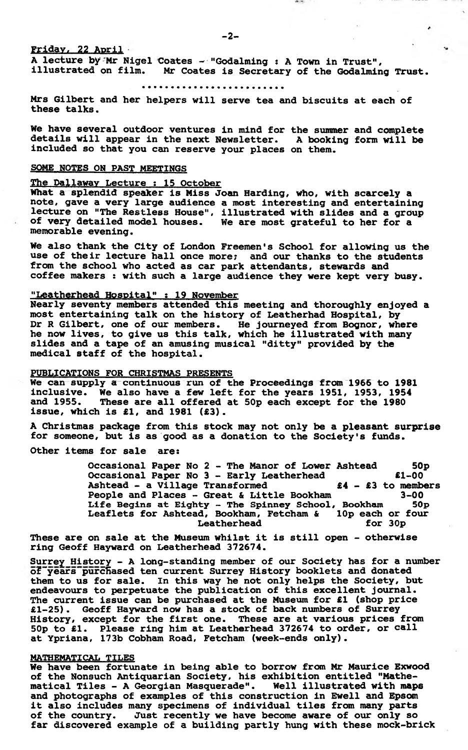**Fridav, 22 April**

 $-2-$ 

**A lecture by-Mr Nigel Coates ~ "Godalming : A Town in Trust",** Mr Coates is Secretary of the Godalming Trust.

**Mrs Gilbert and her helpers will serve tea and biscuits at each of these talks.**

**We have several outdoor ventures in mind for the summer and complete details will appear in the next Newsletter. A booking form will be included so that you can reserve your places on them.**

# **SOME NOTES ON PAST MEETINGS**

# **The Dallawav Lecture ; 15 October**

**What a splendid speaker is Miss Joan Harding, who, with scarcely a note, gave a very large audience a most interesting and entertaining lecture on "The Restless House", illustrated with slides and a group** We are most grateful to her for a **memorable evening.**

**We also thank the City of London Freemen's School for allowing us the use of their lecture hall once more? and our thanks to the students from the school who acted as car park attendants, stewards and** coffee makers : with such a large audience they were kept very busy.

# **"Leatherhead Hospital" : 19 November**

**Nearly seventy members attended this meeting and thoroughly enjoyed a most entertaining talk on the history of Leatherhad Hospital, by Dr R Gilbert, one of our members. He journeyed from Bognor, where he now lives, to give us this talk, which he illustrated with many slides and a tape of an amusing musical "ditty" provided by the medical staff of the hospital.**

# **PUBLICATIONS FOR CHRISTMAS PRESENTS**

**We can supply a continuous run of the Proceedings from 1966 to 1981 inclusive. We also have a few left for the years 1951, 1953, 1954** These are all offered at 50p each except for the 1980 **issue, which is £1, and 1981 (£3).**

**A Christmas package from this stock may not only be a pleasant surprise for someone, but is as good as a donation to the Society's funds.**

**Other items for sale are:**

**Occasional Paper No 2 - The Manor of Lower Ashtead 50p Occasional Paper No 3 - Early Leatherhead £1-00 Ashtead - a Village Transformed £4 - £3 to members People and Places - Great & Little Bookham 3-00** Life Begins at Eighty - The Spinney School, Bookh<mark>am 50p</mark> **Leaflets for Ashtead, Bookham, Fetcham & lOp each or four** Leatherhead for 30p

**These are on sale at the Museum whilst it is still open - otherwise ring Geoff Hayward on Leatherhead 372674.**

**Surrey History - A long-standing member of our Society has for a number o?"years"purcHased ten current Surrey History booklets and donated them to us for sale. In this way he not only helps the Society, but endeavours to perpetuate the publication of this excellent journal. The current issue can be purchased at the Museum for £1 (shop price £1-25). Geoff Hayward now has a stock of back numbers of Surrey History, except for the first one. These are at various prices from 5Op to £1. Please ring him at Leatherhead 372674 to order, or call at Ypriana, 173b Cobham Road, Fetcham (week-ends only).**

## **MATHEMATICAL TILES**

**We have been fortunate in being able to borrow from Mr Maurice Exwood of the Nonsuch Antiquarian Society, his exhibition entitled "Mathematical Tiles - A Georgian Masquerade". Well illustrated with maps and photographs of examples of this construction in Ewell and Epsom it also includes many specimens of individual tiles from many parts** Just recently we have become aware of our only so **far discovered example of a building partly hung with these mock-brick**